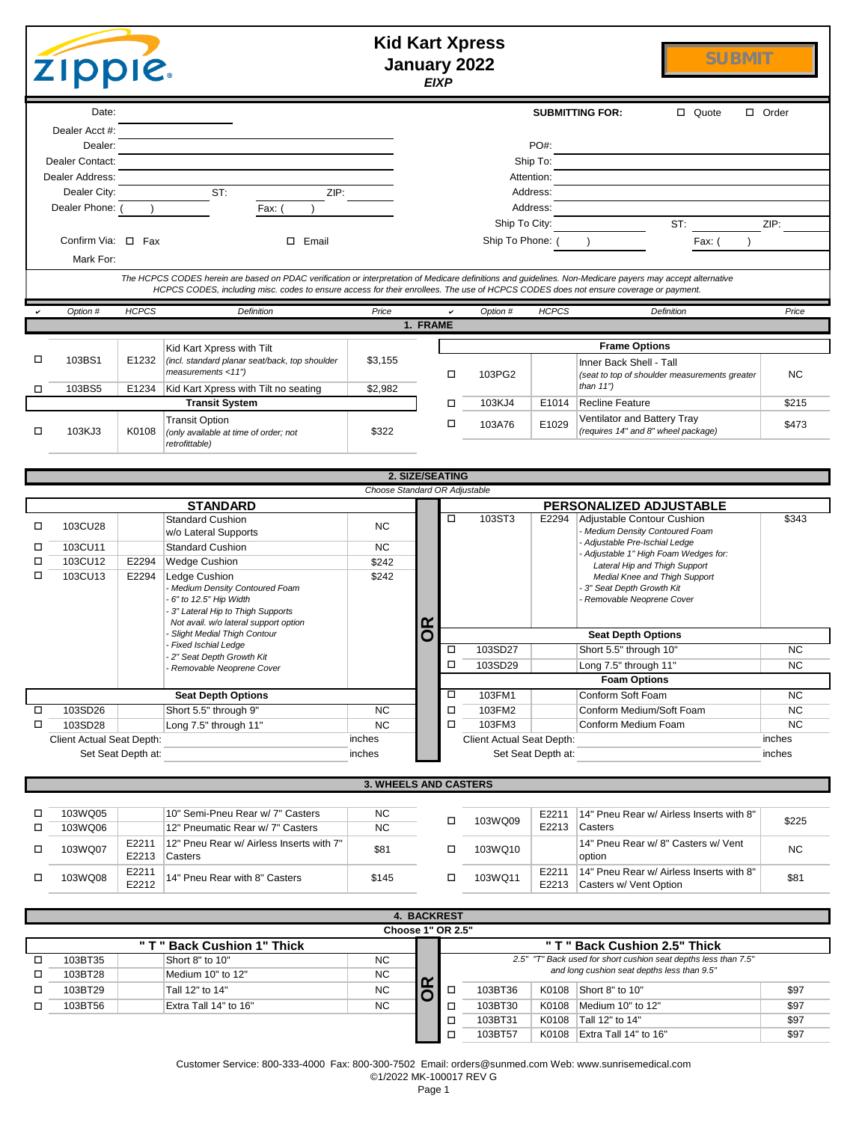|        | <b>Kid Kart Xpress</b><br><b>SUBMIT</b><br>January 2022<br><b>ZIPPIE.</b><br><b>EIXP</b> |                    |                                                                                                                                                                                                                                                                                                    |                              |          |                   |                           |                        |                                                                                          |              |
|--------|------------------------------------------------------------------------------------------|--------------------|----------------------------------------------------------------------------------------------------------------------------------------------------------------------------------------------------------------------------------------------------------------------------------------------------|------------------------------|----------|-------------------|---------------------------|------------------------|------------------------------------------------------------------------------------------|--------------|
|        | Date:                                                                                    |                    |                                                                                                                                                                                                                                                                                                    |                              |          |                   |                           |                        | <b>SUBMITTING FOR:</b><br>$\Box$ Quote                                                   | $\Box$ Order |
|        | Dealer Acct #:                                                                           |                    |                                                                                                                                                                                                                                                                                                    |                              |          |                   |                           |                        |                                                                                          |              |
|        | Dealer:                                                                                  |                    |                                                                                                                                                                                                                                                                                                    |                              |          |                   |                           | PO#:                   |                                                                                          |              |
|        | Dealer Contact:<br>Dealer Address:                                                       |                    |                                                                                                                                                                                                                                                                                                    |                              |          |                   |                           | Ship To:<br>Attention: |                                                                                          |              |
|        | Dealer City:                                                                             |                    | ST:<br>ZIP:                                                                                                                                                                                                                                                                                        |                              |          |                   |                           | Address:               |                                                                                          |              |
|        | Dealer Phone: (                                                                          |                    | Fax:                                                                                                                                                                                                                                                                                               |                              |          |                   |                           | Address:               |                                                                                          |              |
|        |                                                                                          |                    |                                                                                                                                                                                                                                                                                                    |                              |          |                   | Ship To City:             |                        | ST:                                                                                      | ZIP:         |
|        | Confirm Via: $\Box$ Fax<br>Mark For:                                                     |                    | □ Email                                                                                                                                                                                                                                                                                            |                              |          |                   | Ship To Phone: (          |                        | Fax: (                                                                                   |              |
|        |                                                                                          |                    | The HCPCS CODES herein are based on PDAC verification or interpretation of Medicare definitions and guidelines. Non-Medicare payers may accept alternative<br>HCPCS CODES, including misc. codes to ensure access for their enrollees. The use of HCPCS CODES does not ensure coverage or payment. |                              |          |                   |                           |                        |                                                                                          |              |
|        | Option #                                                                                 | <b>HCPCS</b>       | Definition                                                                                                                                                                                                                                                                                         | Price                        |          |                   | Option #                  | <b>HCPCS</b>           | Definition                                                                               | Price        |
|        |                                                                                          |                    |                                                                                                                                                                                                                                                                                                    |                              | 1. FRAME |                   |                           |                        |                                                                                          |              |
|        |                                                                                          |                    | Kid Kart Xpress with Tilt                                                                                                                                                                                                                                                                          |                              |          |                   |                           |                        | <b>Frame Options</b>                                                                     |              |
| □<br>□ | 103BS1<br>103BS5                                                                         | E1232<br>E1234     | (incl. standard planar seat/back, top shoulder<br>measurements <11")<br>Kid Kart Xpress with Tilt no seating                                                                                                                                                                                       | \$3,155<br>\$2,982           |          | □                 | 103PG2                    |                        | Inner Back Shell - Tall<br>(seat to top of shoulder measurements greater<br>than $11"$ ) | <b>NC</b>    |
|        |                                                                                          |                    | <b>Transit System</b>                                                                                                                                                                                                                                                                              |                              |          | □                 | 103KJ4                    | E1014                  | <b>Recline Feature</b>                                                                   | \$215        |
|        |                                                                                          |                    | <b>Transit Option</b>                                                                                                                                                                                                                                                                              |                              |          | □                 | 103A76                    | E1029                  | Ventilator and Battery Tray                                                              | \$473        |
| □      | 103KJ3                                                                                   | K0108              | (only available at time of order; not<br>retrofittable)                                                                                                                                                                                                                                            | \$322                        |          |                   |                           |                        | (requires 14" and 8" wheel package)                                                      |              |
|        | 2. SIZE/SEATING<br>Choose Standard OR Adjustable                                         |                    |                                                                                                                                                                                                                                                                                                    |                              |          |                   |                           |                        |                                                                                          |              |
|        |                                                                                          |                    | <b>STANDARD</b>                                                                                                                                                                                                                                                                                    |                              |          |                   |                           |                        | PERSONALIZED ADJUSTABLE                                                                  |              |
|        |                                                                                          |                    | <b>Standard Cushion</b>                                                                                                                                                                                                                                                                            |                              |          | □                 | 103ST3                    | E2294                  | Adjustable Contour Cushion                                                               | \$343        |
| □      | 103CU28                                                                                  |                    | w/o Lateral Supports                                                                                                                                                                                                                                                                               | <b>NC</b>                    |          |                   |                           |                        | - Medium Density Contoured Foam<br>- Adjustable Pre-Ischial Ledge                        |              |
| □      | 103CU11<br>103CU12                                                                       |                    | <b>Standard Cushion</b>                                                                                                                                                                                                                                                                            | <b>NC</b>                    |          |                   |                           |                        | - Adjustable 1" High Foam Wedges for:                                                    |              |
| □<br>□ | 103CU13                                                                                  | E2294<br>E2294     | <b>Wedge Cushion</b><br>Ledge Cushion                                                                                                                                                                                                                                                              | \$242<br>\$242               |          |                   |                           |                        | Lateral Hip and Thigh Support<br>Medial Knee and Thigh Support                           |              |
|        |                                                                                          |                    | Medium Density Contoured Foam<br>6" to 12.5" Hip Width                                                                                                                                                                                                                                             |                              |          |                   |                           |                        | - 3" Seat Depth Growth Kit<br>Removable Neoprene Cover                                   |              |
|        |                                                                                          |                    | 3" Lateral Hip to Thigh Supports<br>Not avail. w/o lateral support option                                                                                                                                                                                                                          |                              |          |                   |                           |                        |                                                                                          |              |
|        |                                                                                          |                    | <b>Slight Medial Thigh Contour</b>                                                                                                                                                                                                                                                                 |                              | δŔ       |                   |                           |                        | <b>Seat Depth Options</b>                                                                |              |
|        |                                                                                          |                    | Fixed Ischial Ledge<br>2" Seat Depth Growth Kit                                                                                                                                                                                                                                                    |                              |          | □                 | 103SD27                   |                        | Short 5.5" through 10"                                                                   | <b>NC</b>    |
|        |                                                                                          |                    | Removable Neoprene Cover                                                                                                                                                                                                                                                                           |                              |          | □                 | 103SD29                   |                        | Long 7.5" through 11'                                                                    | <b>NC</b>    |
|        |                                                                                          |                    |                                                                                                                                                                                                                                                                                                    |                              |          | □                 | 103FM1                    |                        | <b>Foam Options</b><br>Conform Soft Foam                                                 | <b>NC</b>    |
| □      | 103SD26                                                                                  |                    | <b>Seat Depth Options</b><br>Short 5.5" through 9"                                                                                                                                                                                                                                                 | <b>NC</b>                    |          | □                 | 103FM2                    |                        | Conform Medium/Soft Foam                                                                 | <b>NC</b>    |
| □      | 103SD28                                                                                  |                    | Long 7.5" through 11"                                                                                                                                                                                                                                                                              | <b>NC</b>                    |          | о                 | 103FM3                    |                        | Conform Medium Foam                                                                      | <b>NC</b>    |
|        | Client Actual Seat Depth:                                                                |                    |                                                                                                                                                                                                                                                                                                    | inches                       |          |                   | Client Actual Seat Depth: |                        |                                                                                          | inches       |
|        |                                                                                          | Set Seat Depth at: |                                                                                                                                                                                                                                                                                                    | inches                       |          |                   |                           | Set Seat Depth at:     |                                                                                          | inches       |
|        |                                                                                          |                    |                                                                                                                                                                                                                                                                                                    | <b>3. WHEELS AND CASTERS</b> |          |                   |                           |                        |                                                                                          |              |
| □      | 103WQ05                                                                                  |                    | 10" Semi-Pneu Rear w/ 7" Casters                                                                                                                                                                                                                                                                   | <b>NC</b>                    |          | □                 | 103WQ09                   | E2211                  | 14" Pneu Rear w/ Airless Inserts with 8"                                                 | \$225        |
| □      | 103WQ06                                                                                  |                    | 12" Pneumatic Rear w/ 7" Casters                                                                                                                                                                                                                                                                   | <b>NC</b>                    |          |                   |                           | E2213                  | Casters                                                                                  |              |
| □      | 103WQ07                                                                                  | E2211<br>E2213     | 12" Pneu Rear w/ Airless Inserts with 7"<br>Casters                                                                                                                                                                                                                                                | \$81                         |          | □                 | 103WQ10                   |                        | 14" Pneu Rear w/8" Casters w/ Vent<br>option                                             | <b>NC</b>    |
| □      | 103WQ08                                                                                  | E2211<br>E2212     | 14" Pneu Rear with 8" Casters                                                                                                                                                                                                                                                                      | \$145                        |          | □                 | 103WQ11                   | E2211<br>E2213         | 14" Pneu Rear w/ Airless Inserts with 8"<br>Casters w/ Vent Option                       | \$81         |
|        | 4. BACKREST                                                                              |                    |                                                                                                                                                                                                                                                                                                    |                              |          |                   |                           |                        |                                                                                          |              |
|        |                                                                                          | " T "              | <b>Back Cushion 1" Thick</b>                                                                                                                                                                                                                                                                       |                              |          | Choose 1" OR 2.5" |                           |                        | " T " Back Cushion 2.5" Thick                                                            |              |
| □      | 103BT35                                                                                  |                    | Short 8" to 10"                                                                                                                                                                                                                                                                                    | <b>NC</b>                    |          |                   |                           |                        | 2.5" "T" Back used for short cushion seat depths less than 7.5"                          |              |
| □      | 103BT28                                                                                  |                    | Medium 10" to 12"                                                                                                                                                                                                                                                                                  | <b>NC</b>                    |          |                   |                           |                        | and long cushion seat depths less than 9.5"                                              |              |
| □      | 103BT29                                                                                  |                    | Tall 12" to 14"                                                                                                                                                                                                                                                                                    | <b>NC</b>                    | Ķ        | □                 | 103BT36                   | K0108                  | Short 8" to 10"                                                                          | \$97         |
| □      | 103BT56                                                                                  |                    | Extra Tall 14" to 16"                                                                                                                                                                                                                                                                              | <b>NC</b>                    |          | □                 | 103BT30                   | K0108                  | Medium 10" to 12"                                                                        | \$97         |
|        |                                                                                          |                    |                                                                                                                                                                                                                                                                                                    |                              |          | □                 | 103BT31                   |                        | K0108   Tall 12" to 14"                                                                  | \$97         |

Customer Service: 800-333-4000 Fax: 800-300-7502 Email: orders@sunmed.com Web: www.sunrisemedical.com ©1/2022 MK-100017 REV G

o

103BT57 | K0108 | Extra Tall 14" to 16" | \$97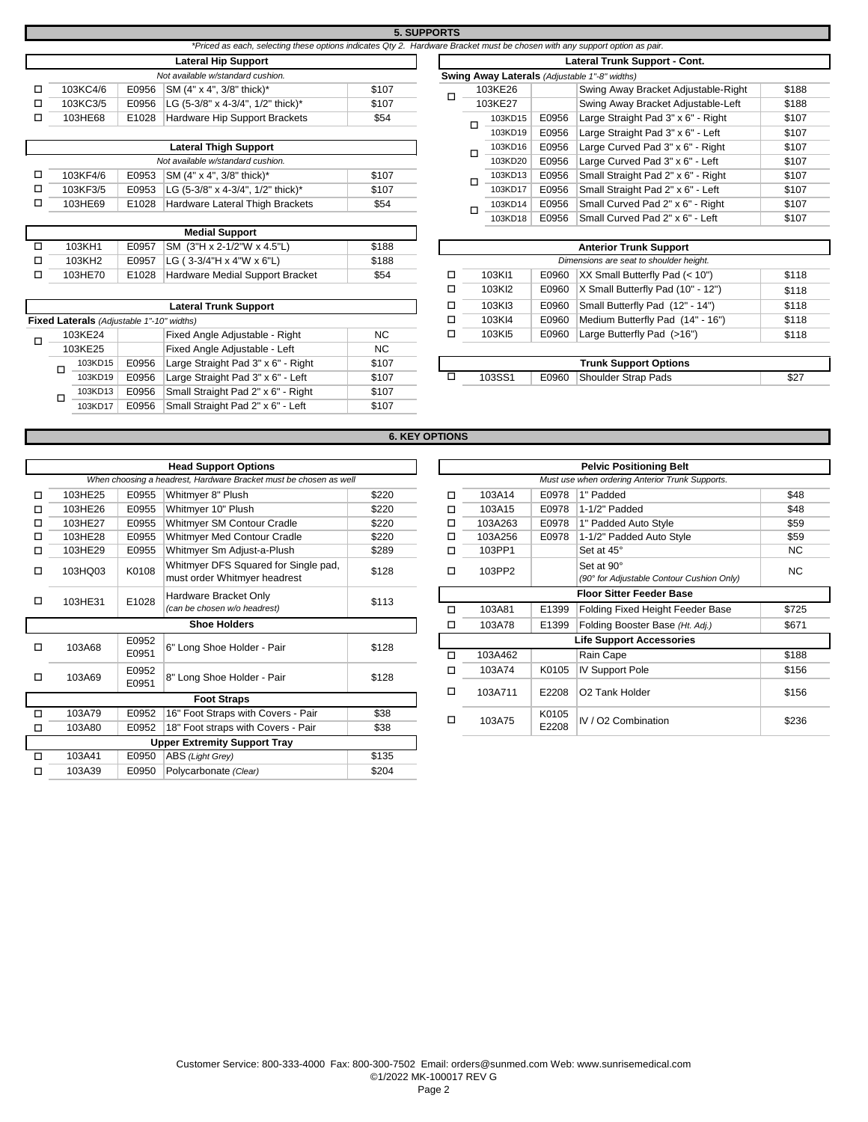|          |       |                                                                                                                            |       | <b>5. SUPPORTS</b> |   |         |       |                                               |
|----------|-------|----------------------------------------------------------------------------------------------------------------------------|-------|--------------------|---|---------|-------|-----------------------------------------------|
|          |       | *Priced as each, selecting these options indicates Qty 2. Hardware Bracket must be chosen with any support option as pair. |       |                    |   |         |       |                                               |
|          |       |                                                                                                                            |       |                    |   |         |       |                                               |
|          |       | <b>Lateral Hip Support</b>                                                                                                 |       |                    |   |         |       | <b>Lateral Trunk Suppo</b>                    |
|          |       | Not available w/standard cushion.                                                                                          |       |                    |   |         |       | Swing Away Laterals (Adjustable 1"-8" widths) |
| 103KC4/6 | E0956 | SM (4" x 4", 3/8" thick)*                                                                                                  | \$107 |                    |   | 103KE26 |       | <b>Swing Away Brack</b>                       |
| 103KC3/5 | E0956 | LG (5-3/8" x 4-3/4", 1/2" thick)*                                                                                          | \$107 |                    |   | 103KE27 |       | <b>Swing Away Brack</b>                       |
| 103HE68  | E1028 | Hardware Hip Support Brackets                                                                                              | \$54  |                    |   | 103KD15 | E0956 | Large Straight Pad                            |
|          |       |                                                                                                                            |       |                    |   | 103KD19 | E0956 | Large Straight Pad                            |
|          |       | <b>Lateral Thigh Support</b>                                                                                               |       |                    | □ | 103KD16 | E0956 | Large Curved Pad                              |
|          |       | Alexander Schless and the second contract the second state of                                                              |       |                    |   | 1001/DA |       | $EXECUTE: 0.0000$                             |

|  | Lateral Inigh Support             |       |                                          |       |   |  |  |  |  |  |
|--|-----------------------------------|-------|------------------------------------------|-------|---|--|--|--|--|--|
|  | Not available w/standard cushion. |       |                                          |       |   |  |  |  |  |  |
|  | 103KF4/6                          | E0953 | $ SM (4" \times 4", 3/8"$ thick)*        | \$107 | п |  |  |  |  |  |
|  | 103KF3/5                          | E0953 | LG $(5-3/8" \times 4-3/4", 1/2"$ thick)* | \$107 |   |  |  |  |  |  |
|  | 103HE69                           | E1028 | Hardware Lateral Thigh Brackets          | \$54  | п |  |  |  |  |  |
|  |                                   |       |                                          |       |   |  |  |  |  |  |

|         |       | <b>Medial Support</b>           |       |  |        |                                          |
|---------|-------|---------------------------------|-------|--|--------|------------------------------------------|
| 103KH1  | E0957 | SM (3"H x 2-1/2"W x 4.5"L)      | \$188 |  |        | <b>Anterior Trunk Support</b>            |
| 103KH2  | E0957 | $ LG (3-3/4"H x 4"W x 6"L)$     | \$188 |  |        | Dimensions are seat to shoulder height.  |
| 103HE70 | E1028 | Hardware Medial Support Bracket | \$54  |  | 103KI1 | E0960 $\,$ XX Small Butterfly Pad (< 10" |

|                                                  |       | <b>Lateral Trunk Support</b>       |           | ட | 103KI3 | E0960 | Small Butterfly Pad (12" - 14")  | \$118 |
|--------------------------------------------------|-------|------------------------------------|-----------|---|--------|-------|----------------------------------|-------|
| <b>Fixed Laterals</b> (Adjustable 1"-10" widths) |       |                                    |           |   | 103KI4 | E0960 | Medium Butterfly Pad (14" - 16") | \$118 |
| 103KE24                                          |       | Fixed Angle Adjustable - Right     | <b>NC</b> |   | 103KI5 | E0960 | Large Butterfly Pad (>16")       | \$118 |
| 103KE25                                          |       | Fixed Angle Adjustable - Left      | <b>NC</b> |   |        |       |                                  |       |
|                                                  |       |                                    |           |   |        |       |                                  |       |
| 103KD15                                          | E0956 | Large Straight Pad 3" x 6" - Right | \$107     |   |        |       | <b>Trunk Support Options</b>     |       |
| □<br>103KD19                                     | E0956 | Large Straight Pad 3" x 6" - Left  | \$107     |   | 103SS1 | E0960 | Shoulder Strap Pads              | \$27  |
| 103KD13                                          | E0956 | Small Straight Pad 2" x 6" - Right | \$107     |   |        |       |                                  |       |
| 103KD17                                          | E0956 | Small Straight Pad 2" x 6" - Left  | \$107     |   |        |       |                                  |       |

|                                                 |       | *Priced as each, selecting these options indicates Qty 2. Hardware Bracket must be chosen with any support option as pair. |       |   |                       |         |       |                                                      |       |
|-------------------------------------------------|-------|----------------------------------------------------------------------------------------------------------------------------|-------|---|-----------------------|---------|-------|------------------------------------------------------|-------|
|                                                 |       | <b>Lateral Hip Support</b>                                                                                                 |       |   |                       |         |       | Lateral Trunk Support - Cont.                        |       |
|                                                 |       | Not available w/standard cushion.                                                                                          |       |   |                       |         |       | <b>Swing Away Laterals</b> (Adjustable 1"-8" widths) |       |
| 103KC4/6                                        | E0956 | SM (4" x 4", 3/8" thick)*                                                                                                  | \$107 |   |                       | 103KE26 |       | Swing Away Bracket Adjustable-Right                  | \$188 |
| 103KC3/5                                        | E0956 | LG (5-3/8" x 4-3/4", 1/2" thick)*                                                                                          | \$107 | □ | 103KE27               |         |       | Swing Away Bracket Adjustable-Left                   | \$188 |
| 103HE68                                         | E1028 | Hardware Hip Support Brackets                                                                                              | \$54  |   | E0956<br>103KD15<br>◻ |         |       | Large Straight Pad 3" x 6" - Right                   | \$107 |
|                                                 |       |                                                                                                                            |       |   |                       | 103KD19 | E0956 | Large Straight Pad 3" x 6" - Left                    | \$107 |
|                                                 |       | <b>Lateral Thigh Support</b>                                                                                               |       |   | □                     | 103KD16 | E0956 | Large Curved Pad 3" x 6" - Right                     | \$107 |
| Not available w/standard cushion.               |       |                                                                                                                            |       |   |                       | 103KD20 | E0956 | Large Curved Pad 3" x 6" - Left                      | \$107 |
| 103KF4/6                                        | E0953 | SM (4" x 4", 3/8" thick)*                                                                                                  | \$107 |   |                       | 103KD13 | E0956 | Small Straight Pad 2" x 6" - Right                   | \$107 |
| 103KF3/5                                        | E0953 | LG (5-3/8" x 4-3/4", 1/2" thick)*                                                                                          | \$107 |   | ◻                     | 103KD17 | E0956 | Small Straight Pad 2" x 6" - Left                    | \$107 |
| 103HE69                                         | E1028 | Hardware Lateral Thigh Brackets                                                                                            | \$54  |   |                       | 103KD14 | E0956 | Small Curved Pad 2" x 6" - Right                     | \$107 |
|                                                 |       |                                                                                                                            |       |   | □                     | 103KD18 | E0956 | Small Curved Pad 2" x 6" - Left                      | \$107 |
|                                                 |       | <b>Medial Support</b>                                                                                                      |       |   |                       |         |       |                                                      |       |
| 103KH1                                          | E0957 | SM (3"H x 2-1/2"W x 4.5"L)                                                                                                 | \$188 |   |                       |         |       | <b>Anterior Trunk Support</b>                        |       |
| 103KH2                                          | E0957 | LG (3-3/4"H x 4"W x 6"L)                                                                                                   | \$188 |   |                       |         |       | Dimensions are seat to shoulder height.              |       |
| 103HE70                                         | E1028 | Hardware Medial Support Bracket                                                                                            | \$54  | □ |                       | 103KI1  | E0960 | XX Small Butterfly Pad (< 10")                       | \$118 |
|                                                 |       |                                                                                                                            |       | □ |                       | 103KI2  | E0960 | X Small Butterfly Pad (10" - 12")                    | \$118 |
|                                                 |       | <b>Lateral Trunk Support</b>                                                                                               |       | □ |                       | 103KI3  | E0960 | Small Butterfly Pad (12" - 14")                      | \$118 |
| aterals (Adjustable 1"-10" widths).             |       |                                                                                                                            |       | □ |                       | 103KI4  | E0960 | Medium Butterfly Pad (14" - 16")                     | \$118 |
| 103KE24                                         |       | Fixed Angle Adjustable - Right                                                                                             | NC.   | □ |                       | 103KI5  | E0960 | Large Butterfly Pad (>16")                           | \$118 |
| 103KE25<br>Fixed Angle Adjustable - Left<br>NC. |       |                                                                                                                            |       |   |                       |         |       |                                                      |       |
| $103K$ D $15$                                   | E0956 | arge Straight Pad 3" y 6" - Right                                                                                          | \$107 |   |                       |         |       | <b>Trunk Sunnort Ontione</b>                         |       |

| 103KD15 | E0956 | Right<br>Large Straight Pad 3" x 6"    | \$107 |                    |       | <b>Trunk Support Options</b> |            |
|---------|-------|----------------------------------------|-------|--------------------|-------|------------------------------|------------|
| 103KD19 | E0956 | Large Straight Pad 3" x 6" -<br>- Left | \$107 | 103SS <sup>.</sup> | E0960 | <b>Shoulder Strap Pads</b>   | <b>CO-</b> |
|         |       |                                        |       |                    |       |                              |            |

## **6. KEY OPTIONS**

|   |         |       | <b>Head Support Options</b>                                          |       |   |         |       | <b>Pelvic Positioning Belt</b>                       |
|---|---------|-------|----------------------------------------------------------------------|-------|---|---------|-------|------------------------------------------------------|
|   |         |       | When choosing a headrest, Hardware Bracket must be chosen as well    |       |   |         |       | Must use when ordering Anterior Trunk Supports.      |
| □ | 103HE25 | E0955 | Whitmyer 8" Plush                                                    | \$220 | □ | 103A14  | E0978 | 1" Padded                                            |
| □ | 103HE26 | E0955 | Whitmyer 10" Plush                                                   | \$220 | □ | 103A15  | E0978 | 1-1/2" Padded                                        |
| □ | 103HE27 | E0955 | Whitmyer SM Contour Cradle                                           | \$220 | □ | 103A263 | E0978 | 1" Padded Auto Style                                 |
| □ | 103HE28 | E0955 | Whitmyer Med Contour Cradle                                          | \$220 | □ | 103A256 | E0978 | 1-1/2" Padded Auto Style                             |
| □ | 103HE29 | E0955 | Whitmyer Sm Adjust-a-Plush                                           | \$289 | □ | 103PP1  |       | Set at 45°                                           |
| □ | 103HQ03 | K0108 | Whitmyer DFS Squared for Single pad,<br>must order Whitmyer headrest | \$128 | □ | 103PP2  |       | Set at 90°<br>(90° for Adjustable Contour Cushion Or |
| п | 103HE31 | E1028 | Hardware Bracket Only                                                | \$113 |   |         |       | <b>Floor Sitter Feeder Base</b>                      |
|   |         |       | (can be chosen w/o headrest)                                         |       | □ | 103A81  | E1399 | Folding Fixed Height Feeder Base                     |
|   |         |       | <b>Shoe Holders</b>                                                  |       | □ | 103A78  | E1399 | Folding Booster Base (Ht. Adj.)                      |
|   |         | E0952 |                                                                      |       |   |         |       | <b>Life Support Accessories</b>                      |
| □ | 103A68  | E0951 | 6" Long Shoe Holder - Pair                                           | \$128 | □ | 103A462 |       | Rain Cape                                            |
|   |         | E0952 |                                                                      |       | ◻ | 103A74  | K0105 | <b>IV Support Pole</b>                               |
| □ | 103A69  | E0951 | 8" Long Shoe Holder - Pair                                           | \$128 |   |         |       |                                                      |
|   |         |       | <b>Foot Straps</b>                                                   |       | □ | 103A711 | E2208 | O2 Tank Holder                                       |
| □ | 103A79  | E0952 | 16" Foot Straps with Covers - Pair                                   | \$38  |   |         | K0105 |                                                      |
| □ | 103A80  | E0952 | 18" Foot straps with Covers - Pair                                   | \$38  | □ | 103A75  | E2208 | IV / O2 Combination                                  |
|   |         |       | <b>Upper Extremity Support Tray</b>                                  |       |   |         |       |                                                      |
| □ | 103A41  | E0950 | ABS (Light Grey)                                                     | \$135 |   |         |       |                                                      |
| □ | 103A39  | E0950 | Polycarbonate (Clear)                                                | \$204 |   |         |       |                                                      |

|                                                               |                                | <b>Head Support Options</b>                                          |       |        |                                 |                     | <b>Pelvic Positioning Belt</b>                          |           |  |
|---------------------------------------------------------------|--------------------------------|----------------------------------------------------------------------|-------|--------|---------------------------------|---------------------|---------------------------------------------------------|-----------|--|
|                                                               |                                | When choosing a headrest, Hardware Bracket must be chosen as well    |       |        |                                 |                     | Must use when ordering Anterior Trunk Supports.         |           |  |
| 103HE25                                                       | E0955                          | Whitmyer 8" Plush                                                    | \$220 | ◻      | 103A14                          | E0978               | 1" Padded                                               | \$48      |  |
| 103HE26                                                       | E0955                          | Whitmyer 10" Plush                                                   | \$220 | ◻      | 103A15                          | E0978               | 1-1/2" Padded                                           | \$48      |  |
| 103HE27                                                       | E0955                          | Whitmyer SM Contour Cradle                                           | \$220 | □      | 103A263                         | E0978               | 1" Padded Auto Style                                    | \$59      |  |
| 103HE28                                                       | E0955                          | Whitmyer Med Contour Cradle                                          | \$220 | ◻      | 103A256                         | E0978               | 1-1/2" Padded Auto Style                                | \$59      |  |
| 103HE29                                                       | E0955                          | Whitmyer Sm Adjust-a-Plush                                           | \$289 | ◻      | 103PP1                          |                     | Set at 45°                                              | <b>NC</b> |  |
| 103HQ03                                                       | K0108                          | Whitmyer DFS Squared for Single pad,<br>must order Whitmyer headrest | \$128 | □      | 103PP2                          |                     | Set at 90°<br>(90° for Adjustable Contour Cushion Only) | NC        |  |
| 103HE31                                                       | Hardware Bracket Only<br>E1028 |                                                                      | \$113 |        |                                 |                     | <b>Floor Sitter Feeder Base</b>                         |           |  |
|                                                               |                                | (can be chosen w/o headrest)                                         |       | □      | 103A81                          | E1399               | Folding Fixed Height Feeder Base                        | \$725     |  |
|                                                               |                                | <b>Shoe Holders</b>                                                  |       | ◻      | 103A78                          | E1399               | Folding Booster Base (Ht. Adj.)                         | \$671     |  |
| 103A68                                                        | E0952                          | 6" Long Shoe Holder - Pair                                           | \$128 |        | <b>Life Support Accessories</b> |                     |                                                         |           |  |
|                                                               | E0951                          |                                                                      |       | □      | 103A462                         |                     | Rain Cape                                               | \$188     |  |
| 103A69                                                        | E0952                          | 8" Long Shoe Holder - Pair                                           | \$128 | ◻      | 103A74                          | K0105               | <b>IV Support Pole</b>                                  | \$156     |  |
|                                                               | E0951                          |                                                                      |       | ◻      | 103A711                         | E2208               | O2 Tank Holder                                          | \$156     |  |
|                                                               |                                | <b>Foot Straps</b>                                                   |       |        |                                 |                     |                                                         |           |  |
| \$38<br>16" Foot Straps with Covers - Pair<br>103A79<br>E0952 |                                |                                                                      | □     | 103A75 | K0105                           | IV / O2 Combination | \$236                                                   |           |  |
| 103A80                                                        | E0952                          | 18" Foot straps with Covers - Pair                                   | \$38  |        |                                 | E2208               |                                                         |           |  |
|                                                               |                                |                                                                      |       |        |                                 |                     |                                                         |           |  |